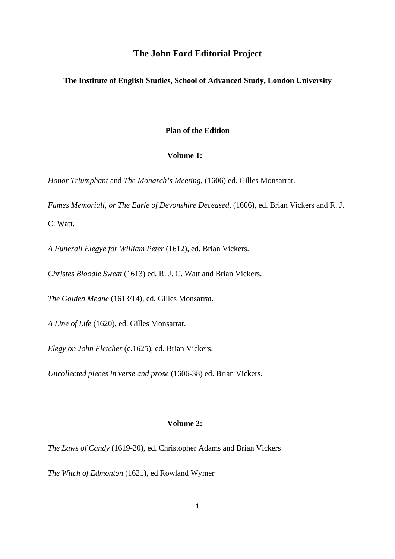# **The John Ford Editorial Project**

#### **The Institute of English Studies, School of Advanced Study, London University**

### **Plan of the Edition**

### **Volume 1:**

*Honor Triumphant* and *The Monarch's Meeting*, (1606) ed. Gilles Monsarrat.

*Fames Memoriall, or The Earle of Devonshire Deceased*, (1606), ed. Brian Vickers and R. J. C. Watt.

*A Funerall Elegye for William Peter* (1612), ed. Brian Vickers.

*Christes Bloodie Sweat* (1613) ed. R. J. C. Watt and Brian Vickers.

*The Golden Meane* (1613/14), ed. Gilles Monsarrat.

*A Line of Life* (1620), ed. Gilles Monsarrat.

*Elegy on John Fletcher* (c.1625), ed. Brian Vickers.

*Uncollected pieces in verse and prose* (1606-38) ed. Brian Vickers.

#### **Volume 2:**

*The Laws of Candy* (1619-20), ed. Christopher Adams and Brian Vickers

*The Witch of Edmonton* (1621), ed Rowland Wymer